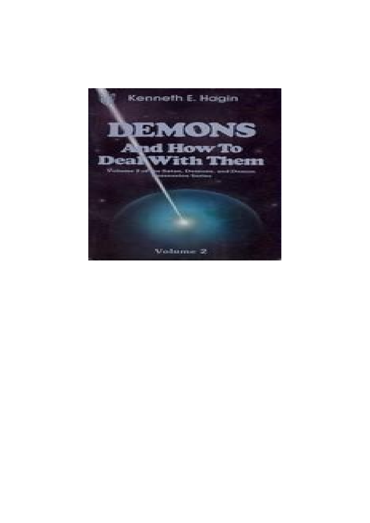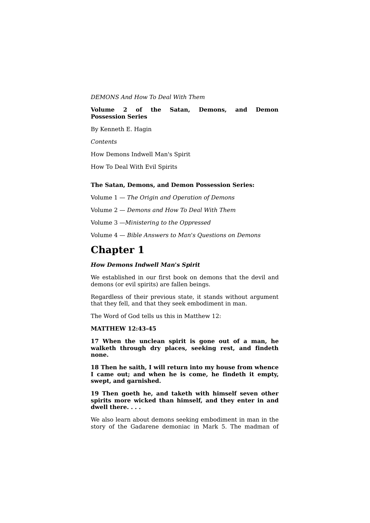#### **Volume 2 of the Satan, Demons, and Demon Possession Series**

By Kenneth E. Hagin

*Contents*

How Demons Indwell Man's Spirit

How To Deal With Evil Spirits

#### **The Satan, Demons, and Demon Possession Series:**

Volume 1 — *The Origin and Operation of Demons*

Volume 2 — *Demons and How To Deal With Them*

Volume 3 —*Ministering to the Oppressed*

Volume 4 — *Bible Answers to Man's Questions on Demons*

## **Chapter 1**

#### *How Demons Indwell Man's Spirit*

We established in our first book on demons that the devil and demons (or evil spirits) are fallen beings.

Regardless of their previous state, it stands without argument that they fell, and that they seek embodiment in man.

The Word of God tells us this in Matthew 12:

#### **MATTHEW 12:43-45**

**17 When the unclean spirit is gone out of a man, he walketh through dry places, seeking rest, and findeth none.**

**18 Then he saith, I will return into my house from whence I came out; and when he is come, he findeth it empty, swept, and garnished.**

**19 Then goeth he, and taketh with himself seven other spirits more wicked than himself, and they enter in and dwell there. . . .**

We also learn about demons seeking embodiment in man in the story of the Gadarene demoniac in Mark 5. The madman of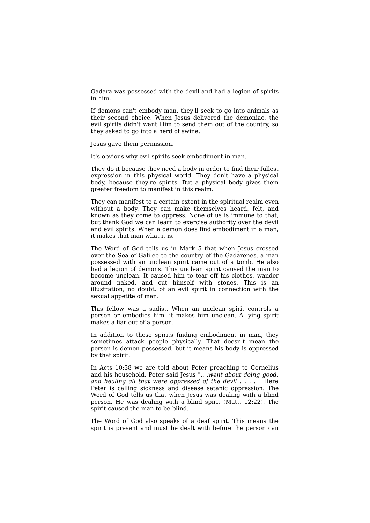Gadara was possessed with the devil and had a legion of spirits in him.

If demons can't embody man, they'll seek to go into animals as their second choice. When Jesus delivered the demoniac, the evil spirits didn't want Him to send them out of the country, so they asked to go into a herd of swine.

Jesus gave them permission.

It's obvious why evil spirits seek embodiment in man.

They do it because they need a body in order to find their fullest expression in this physical world. They don't have a physical body, because they're spirits. But a physical body gives them greater freedom to manifest in this realm.

They can manifest to a certain extent in the spiritual realm even without a body. They can make themselves heard, felt, and known as they come to oppress. None of us is immune to that, but thank God we can learn to exercise authority over the devil and evil spirits. When a demon does find embodiment in a man, it makes that man what it is.

The Word of God tells us in Mark 5 that when Jesus crossed over the Sea of Galilee to the country of the Gadarenes, a man possessed with an unclean spirit came out of a tomb. He also had a legion of demons. This unclean spirit caused the man to become unclean. It caused him to tear off his clothes, wander around naked, and cut himself with stones. This is an illustration, no doubt, of an evil spirit in connection with the sexual appetite of man.

This fellow was a sadist. When an unclean spirit controls a person or embodies him, it makes him unclean. A lying spirit makes a liar out of a person.

In addition to these spirits finding embodiment in man, they sometimes attack people physically. That doesn't mean the person is demon possessed, but it means his body is oppressed by that spirit.

In Acts 10:38 we are told about Peter preaching to Cornelius and his household. Peter said Jesus ".. *.went about doing good, and healing all that were oppressed of the devil . . . . "* Here Peter is calling sickness and disease satanic oppression. The Word of God tells us that when Jesus was dealing with a blind person, He was dealing with a blind spirit (Matt. 12:22). The spirit caused the man to be blind.

The Word of God also speaks of a deaf spirit. This means the spirit is present and must be dealt with before the person can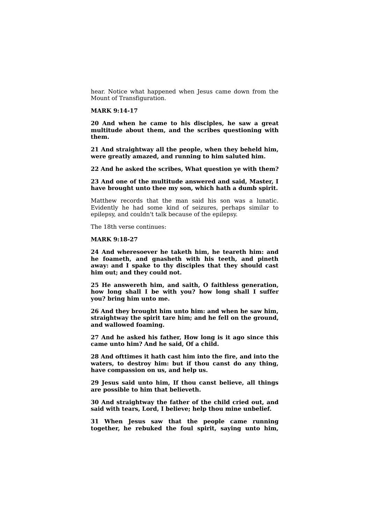hear. Notice what happened when Jesus came down from the Mount of Transfiguration.

#### **MARK 9:14-17**

**20 And when he came to his disciples, he saw a great multitude about them, and the scribes questioning with them.**

**21 And straightway all the people, when they beheld him, were greatly amazed, and running to him saluted him.**

**22 And he asked the scribes, What question ye with them?**

**23 And one of the multitude answered and said, Master, I have brought unto thee my son, which hath a dumb spirit.**

Matthew records that the man said his son was a lunatic. Evidently he had some kind of seizures, perhaps similar to epilepsy, and couldn't talk because of the epilepsy.

The 18th verse continues:

#### **MARK 9:18-27**

**24 And wheresoever he taketh him, he teareth him: and he foameth, and gnasheth with his teeth, and pineth away: and I spake to thy disciples that they should cast him out; and they could not.**

**25 He answereth him, and saith, O faithless generation, how long shall I be with you? how long shall I suffer you? bring him unto me.**

**26 And they brought him unto him: and when he saw him, straightway the spirit tare him; and he fell on the ground, and wallowed foaming.**

**27 And he asked his father, How long is it ago since this came unto him? And he said, Of a child.**

**28 And ofttimes it hath cast him into the fire, and into the waters, to destroy him: but if thou canst do any thing, have compassion on us, and help us.**

**29 Jesus said unto him, If thou canst believe, all things are possible to him that believeth.**

**30 And straightway the father of the child cried out, and said with tears, Lord, I believe; help thou mine unbelief.**

**31 When Jesus saw that the people came running together, he rebuked the foul spirit, saying unto him,**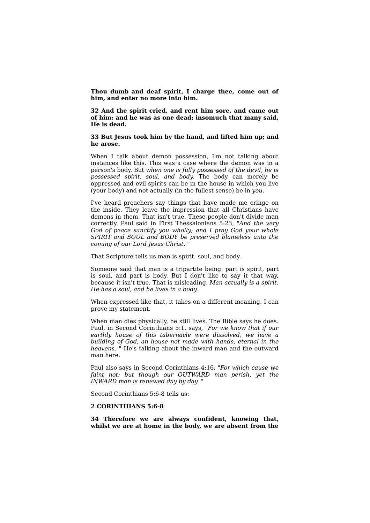**Thou dumb and deaf spirit, I charge thee, come out of him, and enter no more into him.**

**32 And the spirit cried, and rent him sore, and came out of him: and he was as one dead; insomuch that many said, He is dead.**

**33 But Jesus took him by the hand, and lifted him up; and he arose.**

When I talk about demon possession, I'm not talking about instances like this. This was a case where the demon was in a person's body. But *when one is fully possessed of the devil, he is possessed spirit, soul, and body.* The body can merely be oppressed and evil spirits can be in the house in which you live (your body) and not actually (in the fullest sense) be in *you.*

I've heard preachers say things that have made me cringe on the inside. They leave the impression that all Christians have demons in them. That isn't true. These people don't divide man correctly. Paul said in First Thessalonians 5:23, *"And the very God of peace sanctify you wholly; and I pray God your whole SPIRIT and SOUL and BODY be preserved blameless unto the coming of our Lord Jesus Christ.* "

That Scripture tells us man is spirit, soul, and body.

Someone said that man is a tripartite being: part is spirit, part is soul, and part is body. But I don't like to say it that way, because it isn't true. That is misleading. *Man actually is a spirit. He has a soul, and he lives in a body.*

When expressed like that, it takes on a different meaning. I can prove my statement.

When man dies physically, he still lives. The Bible says he does. Paul, in Second Corinthians 5:1, says, *"For we know that if our earthly house of this tabernacle were dissolved, we have a building of God, an house not made with hands, eternal in the heavens.* " He's talking about the inward man and the outward man here.

Paul also says in Second Corinthians 4:16, *"For which cause we faint not: but though our OUTWARD man perish, yet the INWARD man is renewed day by day.* "

Second Corinthians 5:6-8 tells us:

### **2 CORINTHIANS 5:6-8**

**34 Therefore we are always confident, knowing that, whilst we are at home in the body, we are absent from the**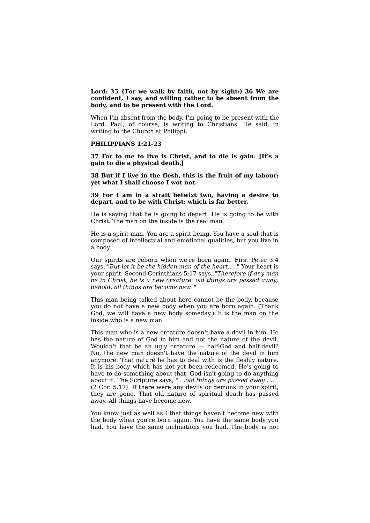**Lord: 35 {For we walk by faith, not by sight:) 36 We are confident, I say, and willing rather to be absent from the body, and to be present with the Lord.**

When I'm absent from the body, I'm going to be present with the Lord. Paul, of course, is writing to Christians. He said, in writing to the Church at Philippi:

## **PHILIPPIANS 1:21-23**

**37 For to me to live is Christ, and to die is gain. [It's a gain to die a physical death.]**

**38 But if I live in the flesh, this is the fruit of my labour: yet what I shall choose I wot not.**

**39 For I am in a strait betwixt two, having a desire to depart, and to be with Christ; which is far better.**

He is saying that he is going to depart. He is going to be with Christ. The man on the inside is the real man.

He is a spirit man. You are a spirit being. You have a soul that is composed of intellectual and emotional qualities, but you live in a body.

Our spirits are reborn when we're born again. First Peter 3:4 says, *"But let it be the hidden man of the heart*.. .." Your heart is your spirit. Second Corinthians 5:17 says, *"Therefore if any man be in Christ, he is a new creature: old things are passed away; behold, all things are become new.* "

This man being talked about here cannot be the body, because you do not have a new body when you are born again. (Thank God, we will have a new body someday.) It is the man on the inside who is a new man.

This man who is a new creature doesn't have a devil in him. He has the nature of God in him and not the nature of the devil. Wouldn't that be an ugly creature — half-God and half-devil? No, the new man doesn't have the nature of the devil in him anymore. That nature he has to deal with is the fleshly nature. It is his body which has not yet been redeemed. He's going to have to do something about that. God isn't going to do anything about it. The Scripture says, ".. *.old things are passed away .* ..." (2 Cor. 5:17). If there were any devils or demons in your spirit, they are gone. That old nature of spiritual death has passed away. All things have become new.

You know just as well as I that things haven't become new with the body when you're born again. You have the same body you had. You have the same inclinations you had. The body is not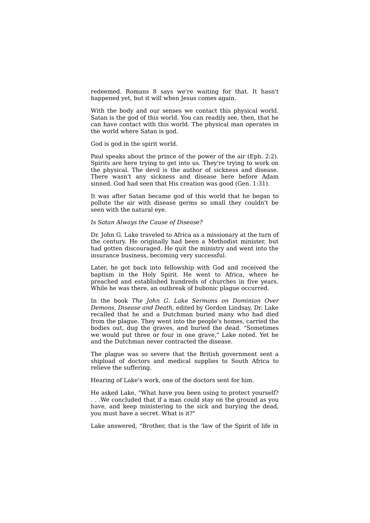redeemed. Romans 8 says we're waiting for that. It hasn't happened yet, but it will when Jesus comes again.

With the body and our senses we contact this physical world. Satan is the god of this world. You can readily see, then, that he can have contact with this world. The physical man operates in the world where Satan is god.

God is god in the spirit world.

Paul speaks about the prince of the power of the air (Eph. 2:2). Spirits are here trying to get into us. They're trying to work on the physical. The devil is the author of sickness and disease. There wasn't any sickness and disease here before Adam sinned. God had seen that His creation was good (Gen. 1:31).

It was after Satan became god of this world that he began to pollute the air with disease germs so small they couldn't be seen with the natural eye.

#### *Is Satan Always the Cause of Disease?*

Dr. John G. Lake traveled to Africa as a missionary at the turn of the century. He originally had been a Methodist minister, but had gotten discouraged. He quit the ministry and went into the insurance business, becoming very successful.

Later, he got back into fellowship with God and received the baptism in the Holy Spirit. He went to Africa, where he preached and established hundreds of churches in five years. While he was there, an outbreak of bubonic plague occurred.

In the book *The John G. Lake Sermons on Dominion Over Demons, Disease and Death,* edited by Gordon Lindsay, Dr. Lake recalled that he and a Dutchman buried many who had died from the plague. They went into the people's homes, carried the bodies out, dug the graves, and buried the dead. "Sometimes we would put three or four in one grave," Lake noted. Yet he and the Dutchman never contracted the disease.

The plague was so severe that the British government sent a shipload of doctors and medical supplies to South Africa to relieve the suffering.

Hearing of Lake's work, one of the doctors sent for him.

He asked Lake, "What have you been using to protect yourself? . . .We concluded that if a man could stay on the ground as you have, and keep ministering to the sick and burying the dead, you must have a secret. What is it?"

Lake answered, "Brother, that is the 'law of the Spirit of life in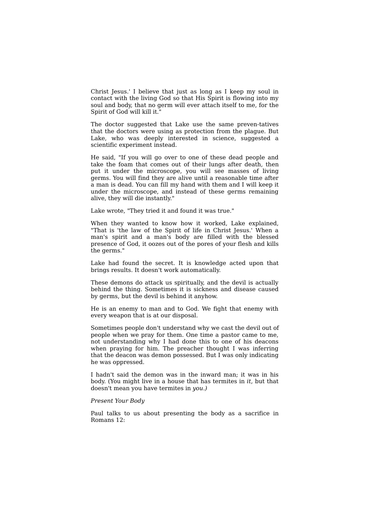Christ Jesus.' I believe that just as long as I keep my soul in contact with the living God so that His Spirit is flowing into my soul and body, that no germ will ever attach itself to me, for the Spirit of God will kill it."

The doctor suggested that Lake use the same preven-tatives that the doctors were using as protection from the plague. But Lake, who was deeply interested in science, suggested a scientific experiment instead.

He said, "If you will go over to one of these dead people and take the foam that comes out of their lungs after death, then put it under the microscope, you will see masses of living germs. You will find they are alive until a reasonable time after a man is dead. You can fill my hand with them and I will keep it under the microscope, and instead of these germs remaining alive, they will die instantly."

Lake wrote, "They tried it and found it was true."

When they wanted to know how it worked, Lake explained, "That is 'the law of the Spirit of life in Christ Jesus.' When a man's spirit and a man's body are filled with the blessed presence of God, it oozes out of the pores of your flesh and kills the germs."

Lake had found the secret. It is knowledge acted upon that brings results. It doesn't work automatically.

These demons do attack us spiritually, and the devil is actually behind the thing. Sometimes it is sickness and disease caused by germs, but the devil is behind it anyhow.

He is an enemy to man and to God. We fight that enemy with every weapon that is at our disposal.

Sometimes people don't understand why we cast the devil out of people when we pray for them. One time a pastor came to me, not understanding why I had done this to one of his deacons when praying for him. The preacher thought I was inferring that the deacon was demon possessed. But I was only indicating he was oppressed.

I hadn't said the demon was in the inward man; it was in his body. (You might live in a house that has termites in *it,* but that doesn't mean you have termites in *you.)*

#### *Present Your Body*

Paul talks to us about presenting the body as a sacrifice in Romans 12: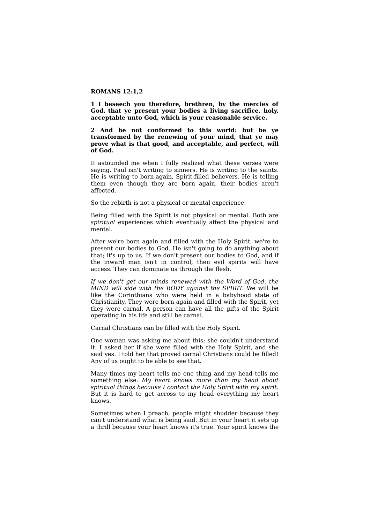#### **ROMANS 12:1,2**

**1 I beseech you therefore, brethren, by the mercies of God, that ye present your bodies a living sacrifice, holy, acceptable unto God, which is your reasonable service.**

**2 And be not conformed to this world: but be ye transformed by the renewing of your mind, that ye may prove what is that good, and acceptable, and perfect, will of God.**

It astounded me when I fully realized what these verses were saying. Paul isn't writing to sinners. He is writing to the saints. He is writing to born-again, Spirit-filled believers. He is telling them even though they are born again, their bodies aren't affected.

So the rebirth is not a physical or mental experience.

Being filled with the Spirit is not physical or mental. Both are *spiritual* experiences which eventually affect the physical and mental.

After we're born again and filled with the Holy Spirit, we're to present our bodies to God. He isn't going to do anything about that; it's up to us. If we don't present our bodies to God, and if the inward man isn't in control, then evil spirits will have access. They can dominate us through the flesh.

*If we don't get our minds renewed with the Word of God, the MIND will side with the BODY against the SPIRIT.* We will be like the Corinthians who were held in a babyhood state of Christianity. They were born again and filled with the Spirit, yet they were carnal. A person can have all the gifts of the Spirit operating in his life and still be carnal.

Carnal Christians can be filled with the Holy Spirit.

One woman was asking me about this; she couldn't understand it. I asked her if she were filled with the Holy Spirit, and she said yes. I told her that proved carnal Christians could be filled! Any of us ought to be able to see that.

Many times my heart tells me one thing and my head tells me something else. *My heart knows more than my head about spiritual things because I contact the Holy Spirit with my spirit.* But it is hard to get across to my head everything my heart knows.

Sometimes when I preach, people might shudder because they can't understand what is being said. But in your heart it sets up a thrill because your heart knows it's true. Your spirit knows the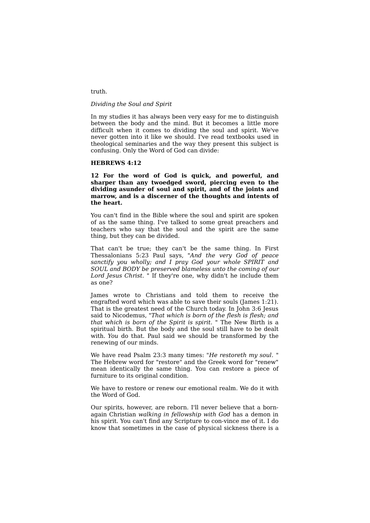#### truth.

#### *Dividing the Soul and Spirit*

In my studies it has always been very easy for me to distinguish between the body and the mind. But it becomes a little more difficult when it comes to dividing the soul and spirit. We've never gotten into it like we should. I've read textbooks used in theological seminaries and the way they present this subject is confusing. Only the Word of God can divide:

#### **HEBREWS 4:12**

**12 For the word of God is quick, and powerful, and sharper than any twoedged sword, piercing even to the dividing asunder of soul and spirit, and of the joints and marrow, and is a discerner of the thoughts and intents of the heart.**

You can't find in the Bible where the soul and spirit are spoken of as the same thing. I've talked to some great preachers and teachers who say that the soul and the spirit are the same thing, but they can be divided.

That can't be true; they can't be the same thing. In First Thessalonians 5:23 Paul says, *"And the very God of peace sanctify you wholly; and I pray God your whole SPIRIT and SOUL and BODY be preserved blameless unto the coming of our Lord Jesus Christ.* " If they're one, why didn't he include them as one?

James wrote to Christians and told them to receive the engrafted word which was able to save their souls (James 1:21). That is the greatest need of the Church today. In John 3:6 Jesus said to Nicodemus, *"That which is born of the flesh is flesh; and that which is born of the Spirit is spirit.* " The New Birth is a spiritual birth. But the body and the soul still have to be dealt with. *You* do that. Paul said we should be transformed by the renewing of our minds.

We have read Psalm 23:3 many times: *"He restoreth my soul.* " The Hebrew word for "restore" and the Greek word for "renew" mean identically the same thing. You can restore a piece of furniture to its original condition.

We have to restore or renew our emotional realm. We do it with the Word of God.

Our spirits, however, are reborn. I'll never believe that a bornagain Christian *walking in fellowship with God* has a demon in his spirit. You can't find any Scripture to con-vince me of it. I do know that sometimes in the case of physical sickness there is a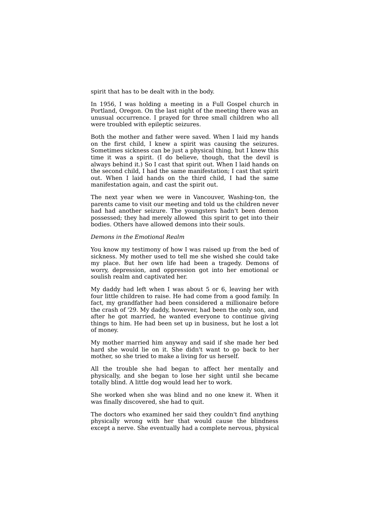spirit that has to be dealt with in the body.

In 1956, I was holding a meeting in a Full Gospel church in Portland, Oregon. On the last night of the meeting there was an unusual occurrence. I prayed for three small children who all were troubled with epileptic seizures.

Both the mother and father were saved. When I laid my hands on the first child, I knew a spirit was causing the seizures. Sometimes sickness can be just a physical thing, but I knew this time it was a spirit. (I do believe, though, that the devil is always behind it.) So I cast that spirit out. When I laid hands on the second child, I had the same manifestation; I cast that spirit out. When I laid hands on the third child, I had the same manifestation again, and cast the spirit out.

The next year when we were in Vancouver, Washing-ton, the parents came to visit our meeting and told us the children never had had another seizure. The youngsters hadn't been demon possessed; they had merely allowed this spirit to get into their bodies. Others have allowed demons into their souls.

#### *Demons in the Emotional Realm*

You know my testimony of how I was raised up from the bed of sickness. My mother used to tell me she wished she could take my place. But her own life had been a tragedy. Demons of worry, depression, and oppression got into her emotional or soulish realm and captivated her.

My daddy had left when I was about 5 or 6, leaving her with four little children to raise. He had come from a good family. In fact, my grandfather had been considered a millionaire before the crash of '29. My daddy, however, had been the only son, and after he got married, he wanted everyone to continue giving things to him. He had been set up in business, but he lost a lot of money.

My mother married him anyway and said if she made her bed hard she would lie on it. She didn't want to go back to her mother, so she tried to make a living for us herself.

All the trouble she had began to affect her mentally and physically, and she began to lose her sight until she became totally blind. A little dog would lead her to work.

She worked when she was blind and no one knew it. When it was finally discovered, she had to quit.

The doctors who examined her said they couldn't find anything physically wrong with her that would cause the blindness except a nerve. She eventually had a complete nervous, physical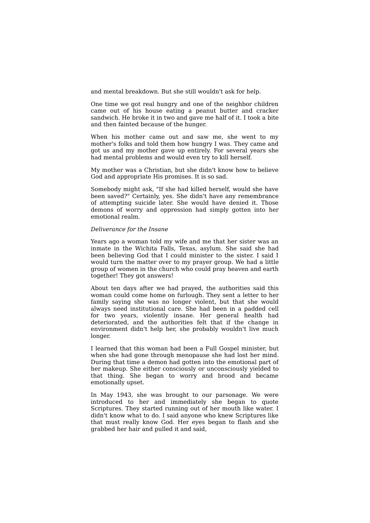and mental breakdown. But she still wouldn't ask for help.

One time we got real hungry and one of the neighbor children came out of his house eating a peanut butter and cracker sandwich. He broke it in two and gave me half of it. I took a bite and then fainted because of the hunger.

When his mother came out and saw me, she went to my mother's folks and told them how hungry I was. They came and got us and my mother gave up entirely. For several years she had mental problems and would even try to kill herself.

My mother was a Christian, but she didn't know how to believe God and appropriate His promises. It is so sad.

Somebody might ask, "If she had killed herself, would she have been saved?" Certainly, yes. She didn't have any remembrance of attempting suicide later. She would have denied it. Those demons of worry and oppression had simply gotten into her emotional realm.

#### *Deliverance for the Insane*

Years ago a woman told my wife and me that her sister was an inmate in the Wichita Falls, Texas, asylum. She said she had been believing God that I could minister to the sister. I said I would turn the matter over to my prayer group. We had a little group of women in the church who could pray heaven and earth together! They got answers!

About ten days after we had prayed, the authorities said this woman could come home on furlough. They sent a letter to her family saying she was no longer violent, but that she would always need institutional care. She had been in a padded cell for two years, violently insane. Her general health had deteriorated, and the authorities felt that if the change in environment didn't help her, she probably wouldn't live much longer.

I learned that this woman had been a Full Gospel minister, but when she had gone through menopause she had lost her mind. During that time a demon had gotten into the emotional part of her makeup. She either consciously or unconsciously yielded to that thing. She began to worry and brood and became emotionally upset.

In May 1943, she was brought to our parsonage. We were introduced to her and immediately she began to quote Scriptures. They started running out of her mouth like water. I didn't know what to do. I said anyone who knew Scriptures like that must really know God. Her eyes began to flash and she grabbed her hair and pulled it and said,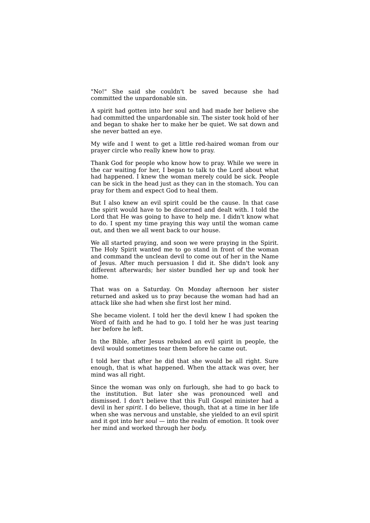"No!" She said she couldn't be saved because she had committed the unpardonable sin.

A spirit had gotten into her soul and had made her believe she had committed the unpardonable sin. The sister took hold of her and began to shake her to make her be quiet. We sat down and she never batted an eye.

My wife and I went to get a little red-haired woman from our prayer circle who really knew how to pray.

Thank God for people who know how to pray. While we were in the car waiting for her, I began to talk to the Lord about what had happened. I knew the woman merely could be sick. People can be sick in the head just as they can in the stomach. You can pray for them and expect God to heal them.

But I also knew an evil spirit could be the cause. In that case the spirit would have to be discerned and dealt with. I told the Lord that He was going to have to help me. I didn't know what to do. I spent my time praying this way until the woman came out, and then we all went back to our house.

We all started praying, and soon we were praying in the Spirit. The Holy Spirit wanted me to go stand in front of the woman and command the unclean devil to come out of her in the Name of Jesus. After much persuasion I did it. She didn't look any different afterwards; her sister bundled her up and took her home.

That was on a Saturday. On Monday afternoon her sister returned and asked us to pray because the woman had had an attack like she had when she first lost her mind.

She became violent. I told her the devil knew I had spoken the Word of faith and he had to go. I told her he was just tearing her before he left.

In the Bible, after Jesus rebuked an evil spirit in people, the devil would sometimes tear them before he came out.

I told her that after he did that she would be all right. Sure enough, that is what happened. When the attack was over, her mind was all right.

Since the woman was only on furlough, she had to go back to the institution. But later she was pronounced well and dismissed. I don't believe that this Full Gospel minister had a devil in her *spirit.* I do believe, though, that at a time in her life when she was nervous and unstable, she yielded to an evil spirit and it got into her *soul —* into the realm of emotion. It took over her mind and worked through her *body.*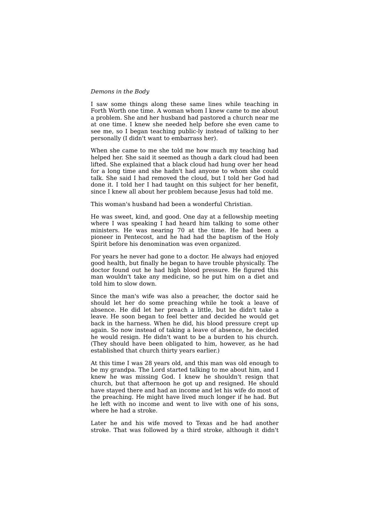#### *Demons in the Body*

I saw some things along these same lines while teaching in Forth Worth one time. A woman whom I knew came to me about a problem. She and her husband had pastored a church near me at one time. I knew she needed help before she even came to see me, so I began teaching public-ly instead of talking to her personally (I didn't want to embarrass her).

When she came to me she told me how much my teaching had helped her. She said it seemed as though a dark cloud had been lifted. She explained that a black cloud had hung over her head for a long time and she hadn't had anyone to whom she could talk. She said I had removed the cloud, but I told her God had done it. I told her I had taught on this subject for her benefit, since I knew all about her problem because Jesus had told me.

#### This woman's husband had been a wonderful Christian.

He was sweet, kind, and good. One day at a fellowship meeting where I was speaking I had heard him talking to some other ministers. He was nearing 70 at the time. He had been a pioneer in Pentecost, and he had had the baptism of the Holy Spirit before his denomination was even organized.

For years he never had gone to a doctor. He always had enjoyed good health, but finally he began to have trouble physically. The doctor found out he had high blood pressure. He figured this man wouldn't take any medicine, so he put him on a diet and told him to slow down.

Since the man's wife was also a preacher, the doctor said he should let her do some preaching while he took a leave of absence. He did let her preach a little, but he didn't take a leave. He soon began to feel better and decided he would get back in the harness. When he did, his blood pressure crept up again. So now instead of taking a leave of absence, he decided he would resign. He didn't want to be a burden to his church. (They should have been obligated to him, however, as he had established that church thirty years earlier.)

At this time I was 28 years old, and this man was old enough to be my grandpa. The Lord started talking to me about him, and I knew he was missing God. I knew he shouldn't resign that church, but that afternoon he got up and resigned. He should have stayed there and had an income and let his wife do most of the preaching. He might have lived much longer if he had. But he left with no income and went to live with one of his sons, where he had a stroke.

Later he and his wife moved to Texas and he had another stroke. That was followed by a third stroke, although it didn't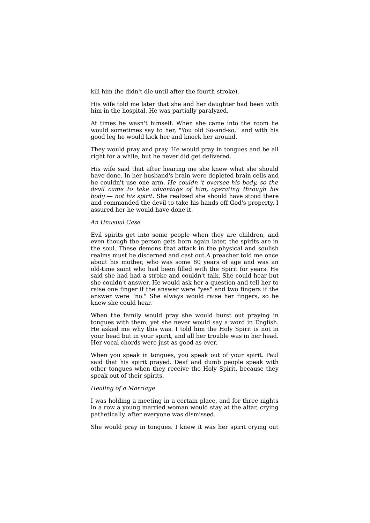kill him (he didn't die until after the fourth stroke).

His wife told me later that she and her daughter had been with him in the hospital. He was partially paralyzed.

At times he wasn't himself. When she came into the room he would sometimes say to her, "You old So-and-so," and with his good leg he would kick her and knock her around.

They would pray and pray. He would pray in tongues and be all right for a while, but he never did get delivered.

His wife said that after hearing me she knew what she should have done. In her husband's brain were depleted brain cells and he couldn't use one arm. *He couldn 't oversee his body, so the devil came to take advantage of him, operating through his body* — *not his spirit.* She realized she should have stood there and commanded the devil to take his hands off God's property. I assured her he would have done it.

#### *An Unusual Case*

Evil spirits get into some people when they are children, and even though the person gets born again later, the spirits are in the soul. These demons that attack in the physical and soulish realms must be discerned and cast out.A preacher told me once about his mother, who was some 80 years of age and was an old-time saint who had been filled with the Spirit for years. He said she had had a stroke and couldn't talk. She could hear but she couldn't answer. He would ask her a question and tell her to raise one finger if the answer were "yes" and two fingers if the answer were "no." She always would raise her fingers, so he knew she could hear.

When the family would pray she would burst out praying in tongues with them, yet she never would say a word in English. He asked me why this was. I told him the Holy Spirit is not in your head but in your spirit, and all her trouble was in her head. Her vocal chords were just as good as ever.

When you speak in tongues, you speak out of your spirit. Paul said that his spirit prayed. Deaf and dumb people speak with other tongues when they receive the Holy Spirit, because they speak out of their spirits.

#### *Healing of a Marriage*

I was holding a meeting in a certain place, and for three nights in a row a young married woman would stay at the altar, crying pathetically, after everyone was dismissed.

She would pray in tongues. I knew it was her spirit crying out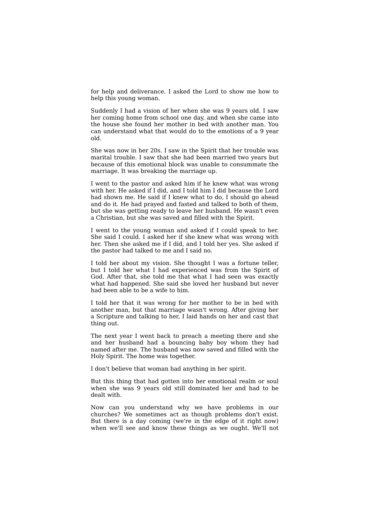for help and deliverance. I asked the Lord to show me how to help this young woman.

Suddenly I had a vision of her when she was 9 years old. I saw her coming home from school one day, and when she came into the house she found her mother in bed with another man. You can understand what that would do to the emotions of a 9 year old.

She was now in her 20s. I saw in the Spirit that her trouble was marital trouble. I saw that she had been married two years but because of this emotional block was unable to consummate the marriage. It was breaking the marriage up.

I went to the pastor and asked him if he knew what was wrong with her. He asked if I did, and I told him I did because the Lord had shown me. He said if I knew what to do, I should go ahead and do it. He had prayed and fasted and talked to both of them, but she was getting ready to leave her husband. He wasn't even a Christian, but she was saved and filled with the Spirit.

I went to the young woman and asked if I could speak to her. She said I could. I asked her if she knew what was wrong with her. Then she asked me if I did, and I told her yes. She asked if the pastor had talked to me and I said no.

I told her about my vision. She thought I was a fortune teller, but I told her what I had experienced was from the Spirit of God. After that, she told me that what I had seen was exactly what had happened. She said she loved her husband but never had been able to be a wife to him.

I told her that it was wrong for her mother to be in bed with another man, but that marriage wasn't wrong. After giving her a Scripture and talking to her, I laid hands on her and cast that thing out.

The next year I went back to preach a meeting there and she and her husband had a bouncing baby boy whom they had named after me. The husband was now saved and filled with the Holy Spirit. The home was together.

I don't believe that woman had anything in her spirit.

But this thing that had gotten into her emotional realm or soul when she was 9 years old still dominated her and had to be dealt with.

Now can you understand why we have problems in our churches? We sometimes act as though problems don't exist. But there is a day coming (we're in the edge of it right now) when we'll see and know these things as we ought. We'll not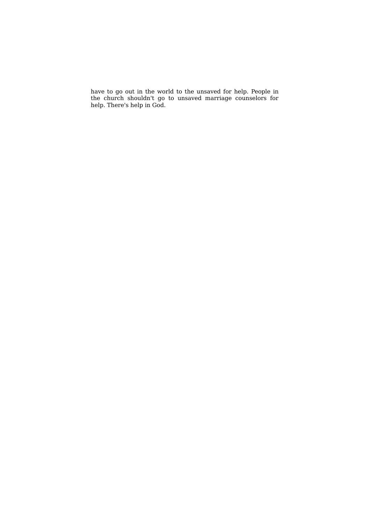have to go out in the world to the unsaved for help. People in the church shouldn't go to unsaved marriage counselors for help. There's help in God.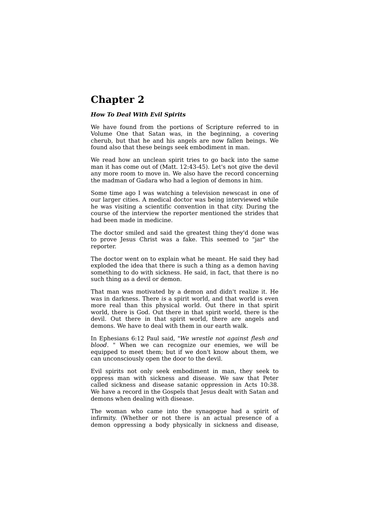# **Chapter 2**

#### *How To Deal With Evil Spirits*

We have found from the portions of Scripture referred to in Volume One that Satan was, in the beginning, a covering cherub, but that he and his angels are now fallen beings. We found also that these beings seek embodiment in man.

We read how an unclean spirit tries to go back into the same man it has come out of (Matt. 12:43-45). Let's not give the devil any more room to move in. We also have the record concerning the madman of Gadara who had a legion of demons in him.

Some time ago I was watching a television newscast in one of our larger cities. A medical doctor was being interviewed while he was visiting a scientific convention in that city. During the course of the interview the reporter mentioned the strides that had been made in medicine.

The doctor smiled and said the greatest thing they'd done was to prove Jesus Christ was a fake. This seemed to "jar" the reporter.

The doctor went on to explain what he meant. He said they had exploded the idea that there is such a thing as a demon having something to do with sickness. He said, in fact, that there is no such thing as a devil or demon.

That man was motivated by a demon and didn't realize it. He was in darkness. There *is* a spirit world, and that world is even more real than this physical world. Out there in that spirit world, there is God. Out there in that spirit world, there is the devil. Out there in that spirit world, there are angels and demons. We have to deal with them in our earth walk.

In Ephesians 6:12 Paul said, *"We wrestle not against flesh and blood.* " When we can recognize our enemies, we will be equipped to meet them; but if we don't know about them, we can unconsciously open the door to the devil.

Evil spirits not only seek embodiment in man, they seek to oppress man with sickness and disease. We saw that Peter called sickness and disease satanic oppression in Acts 10:38. We have a record in the Gospels that Jesus dealt with Satan and demons when dealing with disease.

The woman who came into the synagogue had a spirit of infirmity. (Whether or not there is an actual presence of a demon oppressing a body physically in sickness and disease,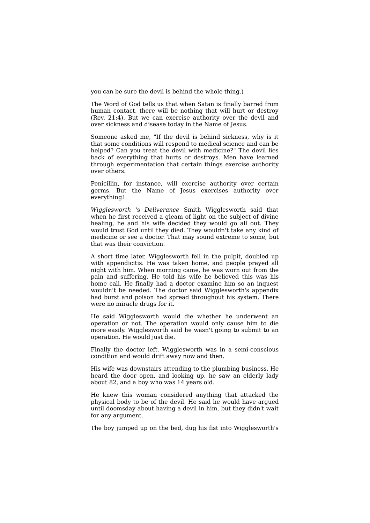you can be sure the devil is behind the whole thing.)

The Word of God tells us that when Satan is finally barred from human contact, there will be nothing that will hurt or destroy (Rev. 21:4). But we can exercise authority over the devil and over sickness and disease today in the Name of Jesus.

Someone asked me, "If the devil is behind sickness, why is it that some conditions will respond to medical science and can be helped? Can you treat the devil with medicine?" The devil lies back of everything that hurts or destroys. Men have learned through experimentation that certain things exercise authority over others.

Penicillin, for instance, will exercise authority over certain germs. But the Name of Jesus exercises authority over everything!

*Wigglesworth* 's *Deliverance* Smith Wigglesworth said that when he first received a gleam of light on the subject of divine healing, he and his wife decided they would go all out. They would trust God until they died. They wouldn't take any kind of medicine or see a doctor. That may sound extreme to some, but that was their conviction.

A short time later, Wigglesworth fell in the pulpit, doubled up with appendicitis. He was taken home, and people prayed all night with him. When morning came, he was worn out from the pain and suffering. He told his wife he believed this was his home call. He finally had a doctor examine him so an inquest wouldn't be needed. The doctor said Wigglesworth's appendix had burst and poison had spread throughout his system. There were no miracle drugs for it.

He said Wigglesworth would die whether he underwent an operation or not. The operation would only cause him to die more easily. Wigglesworth said he wasn't going to submit to an operation. He would just die.

Finally the doctor left. Wigglesworth was in a semi-conscious condition and would drift away now and then.

His wife was downstairs attending to the plumbing business. He heard the door open, and looking up, he saw an elderly lady about 82, and a boy who was 14 years old.

He knew this woman considered anything that attacked the physical body to be of the devil. He said he would have argued until doomsday about having a devil in him, but they didn't wait for any argument.

The boy jumped up on the bed, dug his fist into Wigglesworth's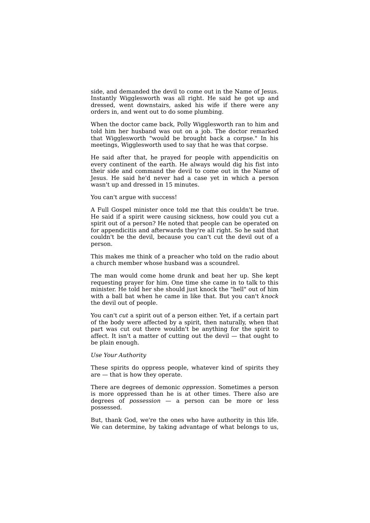side, and demanded the devil to come out in the Name of Jesus. Instantly Wigglesworth was all right. He said he got up and dressed, went downstairs, asked his wife if there were any orders in, and went out to do some plumbing.

When the doctor came back, Polly Wigglesworth ran to him and told him her husband was out on a job. The doctor remarked that Wigglesworth "would be brought back a corpse." In his meetings, Wigglesworth used to say that he was that corpse.

He said after that, he prayed for people with appendicitis on every continent of the earth. He always would dig his fist into their side and command the devil to come out in the Name of Jesus. He said he'd never had a case yet in which a person wasn't up and dressed in 15 minutes.

#### You can't arque with success!

A Full Gospel minister once told me that this couldn't be true. He said if a spirit were causing sickness, how could you cut a spirit out of a person? He noted that people can be operated on for appendicitis and afterwards they're all right. So he said that couldn't be the devil, because you can't cut the devil out of a person.

This makes me think of a preacher who told on the radio about a church member whose husband was a scoundrel.

The man would come home drunk and beat her up. She kept requesting prayer for him. One time she came in to talk to this minister. He told her she should just knock the "hell" out of him with a ball bat when he came in like that. But you can't *knock* the devil out of people.

You can't *cut* a spirit out of a person either. Yet, if a certain part of the body were affected by a spirit, then naturally, when that part was cut out there wouldn't be anything for the spirit to affect. It isn't a matter of cutting out the devil — that ought to be plain enough.

#### *Use Your Authority*

These spirits do oppress people, whatever kind of spirits they are — that is how they operate.

There are degrees of demonic *oppression.* Sometimes a person is more oppressed than he is at other times. There also are degrees of *possession* — a person can be more or less possessed.

But, thank God, we're the ones who have authority in this life. We can determine, by taking advantage of what belongs to us,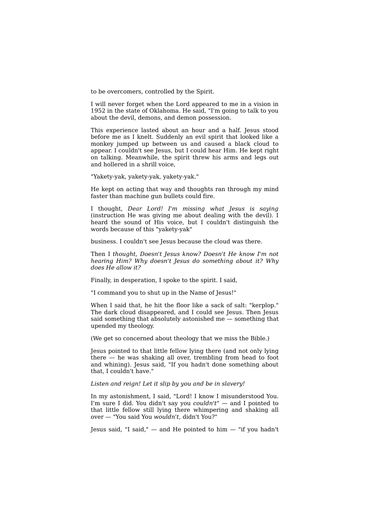to be overcomers, controlled by the Spirit.

I will never forget when the Lord appeared to me in a vision in 1952 in the state of Oklahoma. He said, "I'm going to talk to you about the devil, demons, and demon possession.

This experience lasted about an hour and a half. Jesus stood before me as I knelt. Suddenly an evil spirit that looked like a monkey jumped up between us and caused a black cloud to appear. I couldn't see Jesus, but I could hear Him. He kept right on talking. Meanwhile, the spirit threw his arms and legs out and hollered in a shrill voice,

"Yakety-yak, yakety-yak, yakety-yak."

He kept on acting that way and thoughts ran through my mind faster than machine gun bullets could fire.

I thought, *Dear Lord! I'm missing what Jesus is saying* (instruction He was giving me about dealing with the devil). I heard the sound of His voice, but I couldn't distinguish the words because of this "yakety-yak"

business. I couldn't see Jesus because the cloud was there.

Then I *thought, Doesn't Jesus know? Doesn't He know I'm not hearing Him? Why doesn't Jesus do something about it? Why does He allow it?*

Finally, in desperation, I spoke to the spirit. I said,

"I command you to shut up in the Name of Jesus!"

When I said that, he hit the floor like a sack of salt: "kerplop." The dark cloud disappeared, and I could see Jesus. Then Jesus said something that absolutely astonished me — something that upended my theology.

(We get so concerned about theology that we miss the Bible.)

Jesus pointed to that little fellow lying there (and not only lying there — he was shaking all over, trembling from head to foot and whining). Jesus said, "If you hadn't done something about that, I couldn't have."

#### *Listen and reign! Let it slip by you and be in slavery!*

In my astonishment, I said, "Lord! I know I misunderstood You. I'm sure I did. You didn't say you *couldn't" —* and I pointed to that little fellow still lying there whimpering and shaking all over — "You said You *wouldn't,* didn't You?"

Jesus said, "I said,"  $-$  and He pointed to him  $-$  "if you hadn't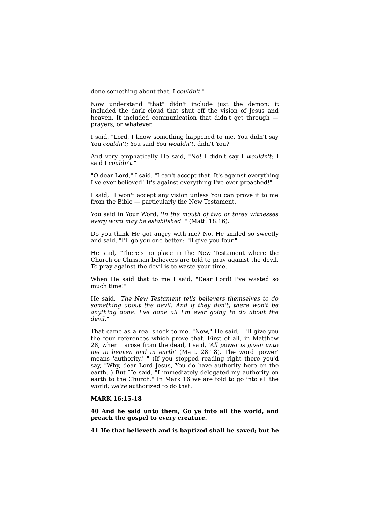done something about that, I *couldn't."*

Now understand "that" didn't include just the demon; it included the dark cloud that shut off the vision of Jesus and heaven. It included communication that didn't get through prayers, or whatever.

I said, "Lord, I know something happened to me. You didn't say You *couldn't;* You said You *wouldn't,* didn't You?"

And very emphatically He said, "No! I didn't say I *wouldn't;* I said I *couldn't."*

"O dear Lord," I said. "I can't accept that. It's against everything I've ever believed! It's against everything I've ever preached!"

I said, "I won't accept any vision unless You can prove it to me from the Bible — particularly the New Testament.

You said in Your Word, *'In the mouth of two or three witnesses every word may be established'* " (Matt. 18:16).

Do you think He got angry with me? No, He smiled so sweetly and said, "I'll go you one better; I'll give you four."

He said, "There's no place in the New Testament where the Church or Christian believers are told to pray against the devil. To pray against the devil is to waste your time."

When He said that to me I said, "Dear Lord! I've wasted so much time!"

He said, *"The New Testament tells believers themselves to do something about the devil. And if they don't, there won't be anything done. I've done all I'm ever going to do about the devil."*

That came as a real shock to me. "Now," He said, "I'll give you the four references which prove that. First of all, in Matthew 28, when I arose from the dead, I said, *'All power is given unto me in heaven and in earth'* (Matt. 28:18). The word 'power' means 'authority.' " (If you stopped reading right there you'd say, "Why, dear Lord Jesus, You do have authority here on the earth.") But He said, "I immediately delegated my authority on earth to the Church." In Mark 16 we are told to go into all the world; *we're* authorized to do that.

#### **MARK 16:15-18**

**40 And he said unto them, Go ye into all the world, and preach the gospel to every creature.**

**41 He that believeth and is baptized shall be saved; but he**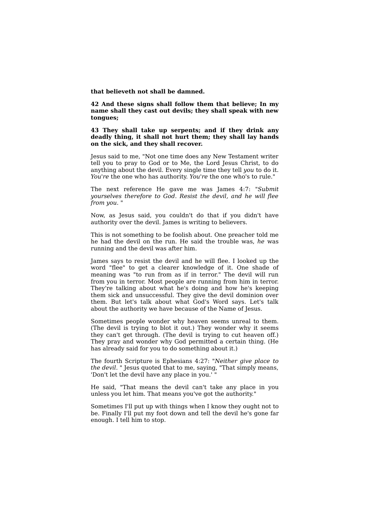**that believeth not shall be damned.**

**42 And these signs shall follow them that believe; In my name shall they cast out devils; they shall speak with new tongues;**

**43 They shall take up serpents; and if they drink any deadly thing, it shall not hurt them; they shall lay hands on the sick, and they shall recover.**

Jesus said to me, "Not one time does any New Testament writer tell you to pray to God or to Me, the Lord Jesus Christ, to do anything about the devil. Every single time they tell *you* to do it. *You're* the one who has authority. *You're* the one who's to rule."

The next reference He gave me was James 4:7: *"Submit yourselves therefore to God. Resist the devil, and he will flee from you.* "

Now, as Jesus said, you couldn't do that if you didn't have authority over the devil. James is writing to believers.

This is not something to be foolish about. One preacher told me he had the devil on the run. He said the trouble was, *he* was running and the devil was after him.

James says to resist the devil and he will flee. I looked up the word "flee" to get a clearer knowledge of it. One shade of meaning was "to run from as if in terror." The devil will run from you in terror. Most people are running from him in terror. They're talking about what he's doing and how he's keeping them sick and unsuccessful. They give the devil dominion over them. But let's talk about what God's Word says. Let's talk about the authority we have because of the Name of Jesus.

Sometimes people wonder why heaven seems unreal to them. (The devil is trying to blot it out.) They wonder why it seems they can't get through. (The devil is trying to cut heaven off.) They pray and wonder why God permitted a certain thing. (He has already said for you to do something about it.)

The fourth Scripture is Ephesians 4:27: *"Neither give place to the devil.* " Jesus quoted that to me, saying, "That simply means, 'Don't let the devil have any place in you.' "

He said, "That means the devil can't take any place in you unless you let him. That means you've got the authority."

Sometimes I'll put up with things when I know they ought not to be. Finally I'll put my foot down and tell the devil he's gone far enough. I tell him to stop.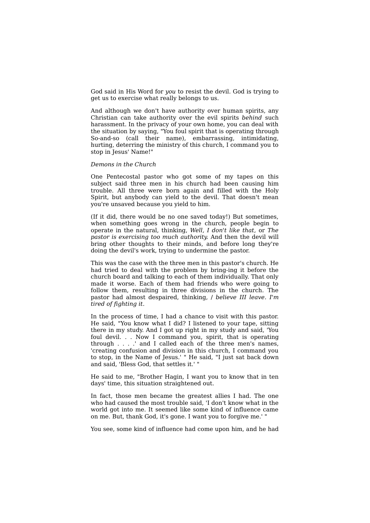God said in His Word for *you* to resist the devil. God is trying to get us to exercise what really belongs to us.

And although we don't have authority over human spirits, any Christian can take authority over the evil spirits *behind* such harassment. In the privacy of your own home, you can deal with the situation by saying, "You foul spirit that is operating through So-and-so (call their name), embarrassing, intimidating, hurting, deterring the ministry of this church, I command you to stop in Jesus' Name!"

#### *Demons in the Church*

One Pentecostal pastor who got some of my tapes on this subject said three men in his church had been causing him trouble. All three were born again and filled with the Holy Spirit, but anybody can yield to the devil. That doesn't mean you're unsaved because you yield to him.

(If it did, there would be no one saved today!) But sometimes, when something goes wrong in the church, people begin to operate in the natural, thinking, *Well, I don't like that,* or *The pastor is exercising too much authority.* And then the devil will bring other thoughts to their minds, and before long they're doing the devil's work, trying to undermine the pastor.

This was the case with the three men in this pastor's church. He had tried to deal with the problem by bring-ing it before the church board and talking to each of them individually. That only made it worse. Each of them had friends who were going to follow them, resulting in three divisions in the church. The pastor had almost despaired, thinking, / *believe III leave. I'm tired of fighting it.*

In the process of time, I had a chance to visit with this pastor. He said, "You know what I did? I listened to your tape, sitting there in my study. And I got up right in my study and said, 'You foul devil. . . Now I command you, spirit, that is operating through . . . .' and I called each of the three men's names, 'creating confusion and division in this church, I command you to stop, in the Name of Jesus.' " He said, "I just sat back down and said, 'Bless God, that settles it.' "

He said to me, "Brother Hagin, I want you to know that in ten days' time, this situation straightened out.

In fact, those men became the greatest allies I had. The one who had caused the most trouble said, 'I don't know what in the world got into me. It seemed like some kind of influence came on me. But, thank God, it's gone. I want you to forgive me.' "

You see, some kind of influence had come upon him, and he had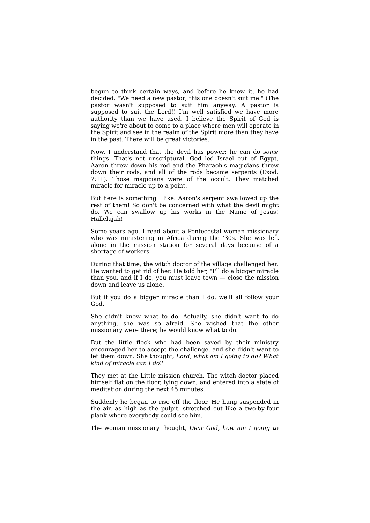begun to think certain ways, and before he knew it, he had decided, "We need a new pastor; this one doesn't suit me." (The pastor wasn't supposed to suit him anyway. A pastor is supposed to suit the Lord!) I'm well satisfied we have more authority than we have used. I believe the Spirit of God is saying we're about to come to a place where men will operate in the Spirit and see in the realm of the Spirit more than they have in the past. There will be great victories.

Now, I understand that the devil has power; he can do *some* things. That's not unscriptural. God led Israel out of Egypt, Aaron threw down his rod and the Pharaoh's magicians threw down their rods, and all of the rods became serpents (Exod. 7:11). Those magicians were of the occult. They matched miracle for miracle up to a point.

But here is something I like: Aaron's serpent swallowed up the rest of them! So don't be concerned with what the devil might do. We can swallow up his works in the Name of Jesus! Hallelujah!

Some years ago, I read about a Pentecostal woman missionary who was ministering in Africa during the '30s. She was left alone in the mission station for several days because of a shortage of workers.

During that time, the witch doctor of the village challenged her. He wanted to get rid of her. He told her, "I'll do a bigger miracle than you, and if I do, you must leave town  $-$  close the mission down and leave us alone.

But if you do a bigger miracle than I do, we'll all follow your God."

She didn't know what to do. Actually, she didn't want to do anything, she was so afraid. She wished that the other missionary were there; he would know what to do.

But the little flock who had been saved by their ministry encouraged her to accept the challenge, and she didn't want to let them down. She thought, *Lord, what am I going to do? What kind of miracle can I do?*

They met at the Little mission church. The witch doctor placed himself flat on the floor, lying down, and entered into a state of meditation during the next 45 minutes.

Suddenly he began to rise off the floor. He hung suspended in the air, as high as the pulpit, stretched out like a two-by-four plank where everybody could see him.

The woman missionary thought, *Dear God, how am I going to*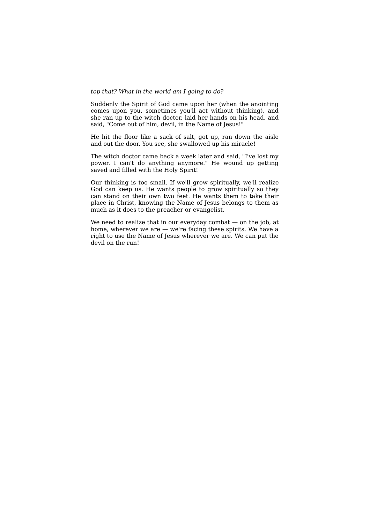#### *top that? What in the world am I going to do?*

Suddenly the Spirit of God came upon her (when the anointing comes upon you, sometimes you'll act without thinking), and she ran up to the witch doctor, laid her hands on his head, and said, "Come out of him, devil, in the Name of Jesus!"

He hit the floor like a sack of salt, got up, ran down the aisle and out the door. You see, she swallowed up his miracle!

The witch doctor came back a week later and said, "I've lost my power. I can't do anything anymore." He wound up getting saved and filled with the Holy Spirit!

Our thinking is too small. If we'll grow spiritually, we'll realize God can keep us. He wants people to grow spiritually so they can stand on their own two feet. He wants them to take their place in Christ, knowing the Name of Jesus belongs to them as much as it does to the preacher or evangelist.

We need to realize that in our everyday combat — on the job, at home, wherever we are — we're facing these spirits. We have a right to use the Name of Jesus wherever we are. We can put the devil on the run!